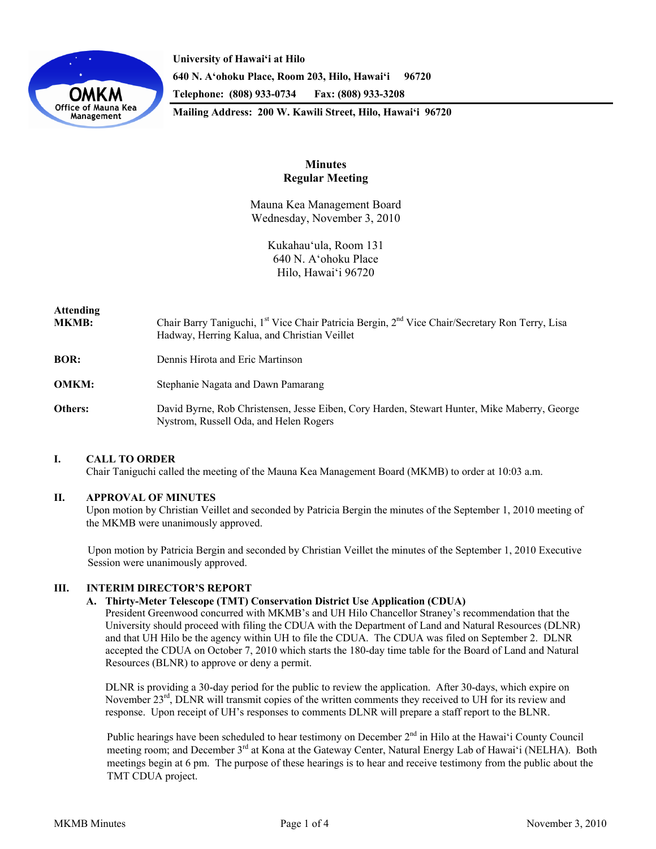

**University of Hawai'i at Hilo 640 N. A'ohoku Place, Room 203, Hilo, Hawai'i 96720 Telephone: (808) 933-0734 Fax: (808) 933-3208 Mailing Address: 200 W. Kawili Street, Hilo, Hawai'i 96720** 

# **Minutes Regular Meeting**

Mauna Kea Management Board Wednesday, November 3, 2010

> Kukahauʻula, Room 131 640 N. Aʻohoku Place Hilo, Hawaiʻi 96720

# **Attending MKMB:** Chair Barry Taniguchi, 1<sup>st</sup> Vice Chair Patricia Bergin, 2<sup>nd</sup> Vice Chair/Secretary Ron Terry, Lisa Hadway, Herring Kalua, and Christian Veillet **BOR:** Dennis Hirota and Eric Martinson **OMKM:** Stephanie Nagata and Dawn Pamarang **Others:** David Byrne, Rob Christensen, Jesse Eiben, Cory Harden, Stewart Hunter, Mike Maberry, George Nystrom, Russell Oda, and Helen Rogers

# **I. CALL TO ORDER**

Chair Taniguchi called the meeting of the Mauna Kea Management Board (MKMB) to order at 10:03 a.m.

## **II. APPROVAL OF MINUTES**

Upon motion by Christian Veillet and seconded by Patricia Bergin the minutes of the September 1, 2010 meeting of the MKMB were unanimously approved.

Upon motion by Patricia Bergin and seconded by Christian Veillet the minutes of the September 1, 2010 Executive Session were unanimously approved.

## **III. INTERIM DIRECTOR'S REPORT**

#### **A. Thirty-Meter Telescope (TMT) Conservation District Use Application (CDUA)**

President Greenwood concurred with MKMB's and UH Hilo Chancellor Straney's recommendation that the University should proceed with filing the CDUA with the Department of Land and Natural Resources (DLNR) and that UH Hilo be the agency within UH to file the CDUA. The CDUA was filed on September 2. DLNR accepted the CDUA on October 7, 2010 which starts the 180-day time table for the Board of Land and Natural Resources (BLNR) to approve or deny a permit.

DLNR is providing a 30-day period for the public to review the application. After 30-days, which expire on November  $23<sup>rd</sup>$ , DLNR will transmit copies of the written comments they received to UH for its review and response. Upon receipt of UH's responses to comments DLNR will prepare a staff report to the BLNR.

Public hearings have been scheduled to hear testimony on December 2<sup>nd</sup> in Hilo at the Hawai<sup>'</sup>i County Council meeting room; and December 3<sup>rd</sup> at Kona at the Gateway Center, Natural Energy Lab of Hawaiʻi (NELHA). Both meetings begin at 6 pm. The purpose of these hearings is to hear and receive testimony from the public about the TMT CDUA project.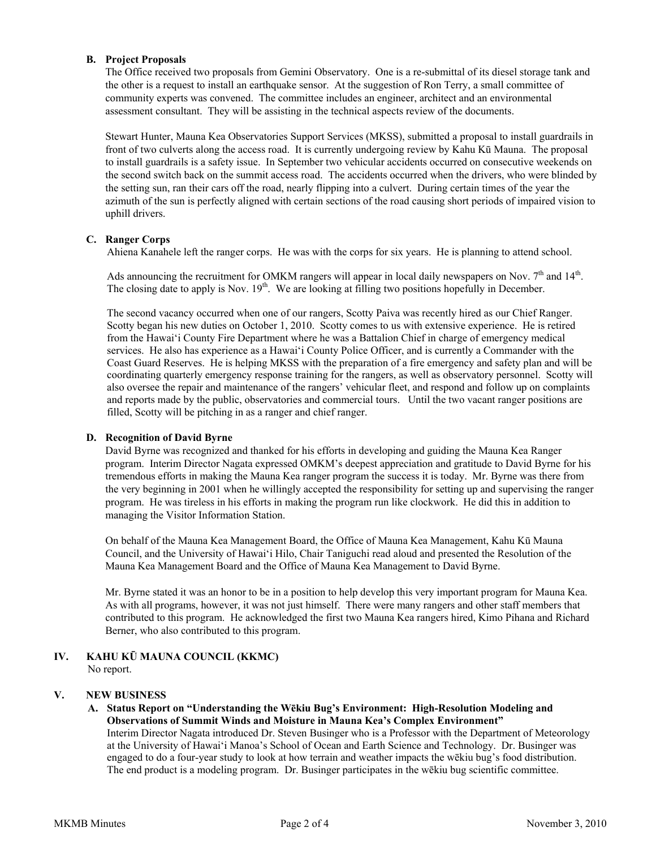# **B. Project Proposals**

The Office received two proposals from Gemini Observatory. One is a re-submittal of its diesel storage tank and the other is a request to install an earthquake sensor. At the suggestion of Ron Terry, a small committee of community experts was convened. The committee includes an engineer, architect and an environmental assessment consultant. They will be assisting in the technical aspects review of the documents.

Stewart Hunter, Mauna Kea Observatories Support Services (MKSS), submitted a proposal to install guardrails in front of two culverts along the access road. It is currently undergoing review by Kahu Kū Mauna. The proposal to install guardrails is a safety issue. In September two vehicular accidents occurred on consecutive weekends on the second switch back on the summit access road. The accidents occurred when the drivers, who were blinded by the setting sun, ran their cars off the road, nearly flipping into a culvert. During certain times of the year the azimuth of the sun is perfectly aligned with certain sections of the road causing short periods of impaired vision to uphill drivers.

# **C. Ranger Corps**

Ahiena Kanahele left the ranger corps. He was with the corps for six years. He is planning to attend school.

Ads announcing the recruitment for OMKM rangers will appear in local daily newspapers on Nov.  $7<sup>th</sup>$  and  $14<sup>th</sup>$ . The closing date to apply is Nov.  $19<sup>th</sup>$ . We are looking at filling two positions hopefully in December.

The second vacancy occurred when one of our rangers, Scotty Paiva was recently hired as our Chief Ranger. Scotty began his new duties on October 1, 2010. Scotty comes to us with extensive experience. He is retired from the Hawaiʻi County Fire Department where he was a Battalion Chief in charge of emergency medical services. He also has experience as a Hawaiʻi County Police Officer, and is currently a Commander with the Coast Guard Reserves. He is helping MKSS with the preparation of a fire emergency and safety plan and will be coordinating quarterly emergency response training for the rangers, as well as observatory personnel. Scotty will also oversee the repair and maintenance of the rangers' vehicular fleet, and respond and follow up on complaints and reports made by the public, observatories and commercial tours. Until the two vacant ranger positions are filled, Scotty will be pitching in as a ranger and chief ranger.

## **D. Recognition of David Byrne**

David Byrne was recognized and thanked for his efforts in developing and guiding the Mauna Kea Ranger program. Interim Director Nagata expressed OMKM's deepest appreciation and gratitude to David Byrne for his tremendous efforts in making the Mauna Kea ranger program the success it is today. Mr. Byrne was there from the very beginning in 2001 when he willingly accepted the responsibility for setting up and supervising the ranger program. He was tireless in his efforts in making the program run like clockwork. He did this in addition to managing the Visitor Information Station.

On behalf of the Mauna Kea Management Board, the Office of Mauna Kea Management, Kahu Kū Mauna Council, and the University of Hawaiʻi Hilo, Chair Taniguchi read aloud and presented the Resolution of the Mauna Kea Management Board and the Office of Mauna Kea Management to David Byrne.

Mr. Byrne stated it was an honor to be in a position to help develop this very important program for Mauna Kea. As with all programs, however, it was not just himself. There were many rangers and other staff members that contributed to this program. He acknowledged the first two Mauna Kea rangers hired, Kimo Pihana and Richard Berner, who also contributed to this program.

#### **IV. KAHU KŪ MAUNA COUNCIL (KKMC)**  No report.

## **V. NEW BUSINESS**

# **A. Status Report on "Understanding the Wēkiu Bug's Environment: High-Resolution Modeling and Observations of Summit Winds and Moisture in Mauna Kea's Complex Environment"**  Interim Director Nagata introduced Dr. Steven Businger who is a Professor with the Department of Meteorology

at the University of Hawaiʻi Manoa's School of Ocean and Earth Science and Technology. Dr. Businger was engaged to do a four-year study to look at how terrain and weather impacts the wēkiu bug's food distribution. The end product is a modeling program. Dr. Businger participates in the wēkiu bug scientific committee.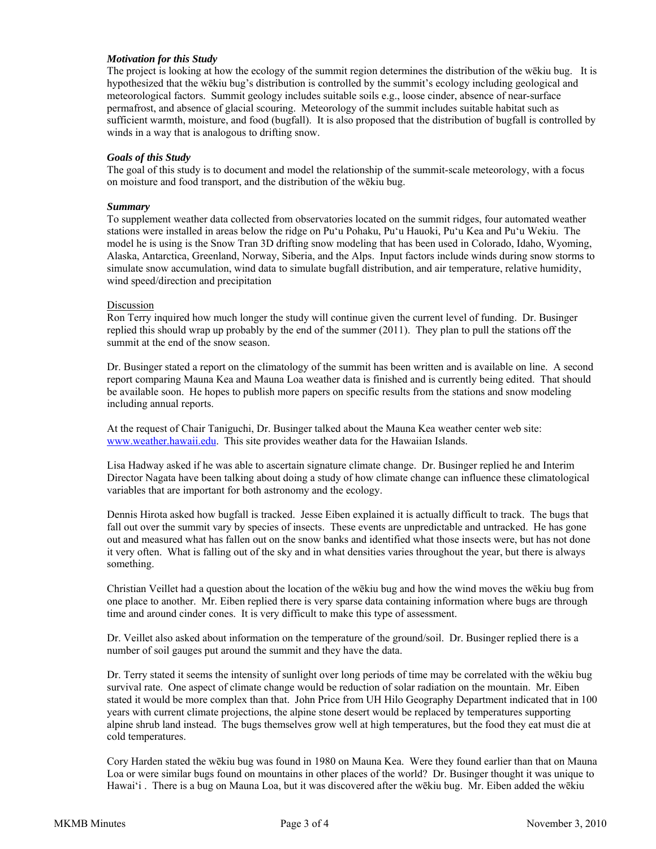## *Motivation for this Study*

The project is looking at how the ecology of the summit region determines the distribution of the wēkiu bug. It is hypothesized that the wēkiu bug's distribution is controlled by the summit's ecology including geological and meteorological factors. Summit geology includes suitable soils e.g., loose cinder, absence of near-surface permafrost, and absence of glacial scouring. Meteorology of the summit includes suitable habitat such as sufficient warmth, moisture, and food (bugfall). It is also proposed that the distribution of bugfall is controlled by winds in a way that is analogous to drifting snow.

## *Goals of this Study*

The goal of this study is to document and model the relationship of the summit-scale meteorology, with a focus on moisture and food transport, and the distribution of the wēkiu bug.

#### *Summary*

To supplement weather data collected from observatories located on the summit ridges, four automated weather stations were installed in areas below the ridge on Puʻu Pohaku, Puʻu Hauoki, Puʻu Kea and Puʻu Wekiu. The model he is using is the Snow Tran 3D drifting snow modeling that has been used in Colorado, Idaho, Wyoming, Alaska, Antarctica, Greenland, Norway, Siberia, and the Alps. Input factors include winds during snow storms to simulate snow accumulation, wind data to simulate bugfall distribution, and air temperature, relative humidity, wind speed/direction and precipitation

#### Discussion

Ron Terry inquired how much longer the study will continue given the current level of funding. Dr. Businger replied this should wrap up probably by the end of the summer (2011). They plan to pull the stations off the summit at the end of the snow season.

Dr. Businger stated a report on the climatology of the summit has been written and is available on line. A second report comparing Mauna Kea and Mauna Loa weather data is finished and is currently being edited. That should be available soon. He hopes to publish more papers on specific results from the stations and snow modeling including annual reports.

At the request of Chair Taniguchi, Dr. Businger talked about the Mauna Kea weather center web site: www.weather.hawaii.edu. This site provides weather data for the Hawaiian Islands.

Lisa Hadway asked if he was able to ascertain signature climate change. Dr. Businger replied he and Interim Director Nagata have been talking about doing a study of how climate change can influence these climatological variables that are important for both astronomy and the ecology.

Dennis Hirota asked how bugfall is tracked. Jesse Eiben explained it is actually difficult to track. The bugs that fall out over the summit vary by species of insects. These events are unpredictable and untracked. He has gone out and measured what has fallen out on the snow banks and identified what those insects were, but has not done it very often. What is falling out of the sky and in what densities varies throughout the year, but there is always something.

Christian Veillet had a question about the location of the wēkiu bug and how the wind moves the wēkiu bug from one place to another. Mr. Eiben replied there is very sparse data containing information where bugs are through time and around cinder cones. It is very difficult to make this type of assessment.

Dr. Veillet also asked about information on the temperature of the ground/soil. Dr. Businger replied there is a number of soil gauges put around the summit and they have the data.

Dr. Terry stated it seems the intensity of sunlight over long periods of time may be correlated with the wēkiu bug survival rate. One aspect of climate change would be reduction of solar radiation on the mountain. Mr. Eiben stated it would be more complex than that. John Price from UH Hilo Geography Department indicated that in 100 years with current climate projections, the alpine stone desert would be replaced by temperatures supporting alpine shrub land instead. The bugs themselves grow well at high temperatures, but the food they eat must die at cold temperatures.

Cory Harden stated the wēkiu bug was found in 1980 on Mauna Kea. Were they found earlier than that on Mauna Loa or were similar bugs found on mountains in other places of the world? Dr. Businger thought it was unique to Hawaiʻi . There is a bug on Mauna Loa, but it was discovered after the wēkiu bug. Mr. Eiben added the wēkiu